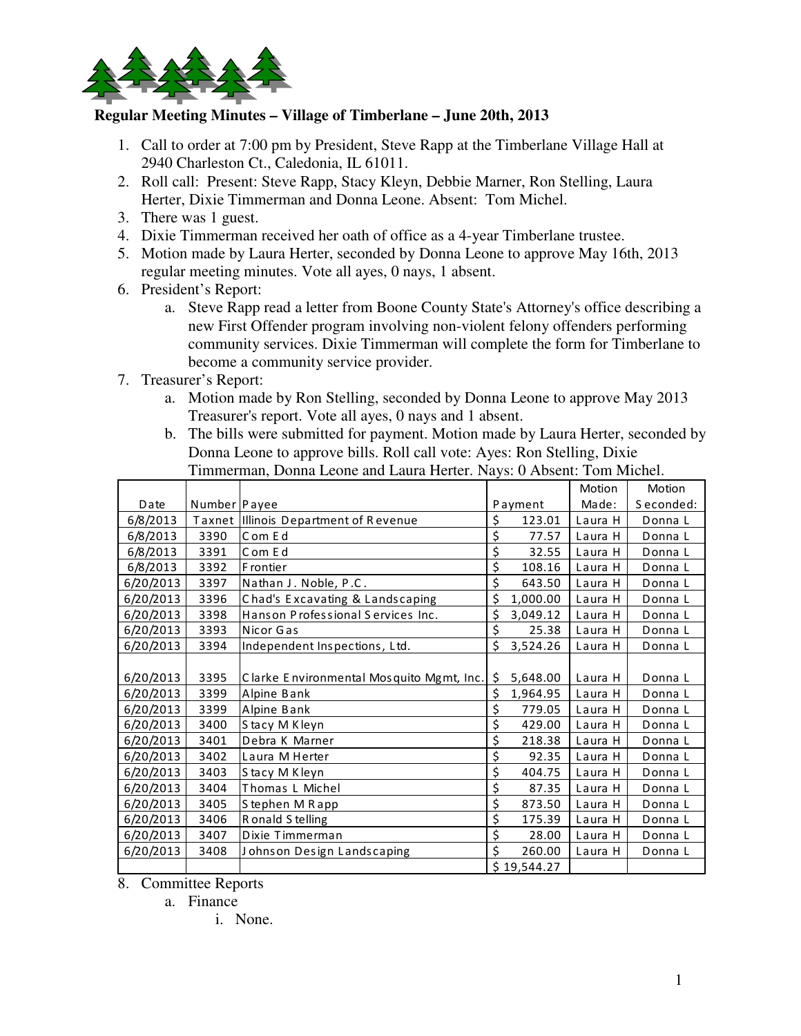

## **Regular Meeting Minutes – Village of Timberlane – June 20th, 2013**

- 1. Call to order at 7:00 pm by President, Steve Rapp at the Timberlane Village Hall at 2940 Charleston Ct., Caledonia, IL 61011.
- 2. Roll call: Present: Steve Rapp, Stacy Kleyn, Debbie Marner, Ron Stelling, Laura Herter, Dixie Timmerman and Donna Leone. Absent: Tom Michel.
- 3. There was 1 guest.
- 4. Dixie Timmerman received her oath of office as a 4-year Timberlane trustee.
- 5. Motion made by Laura Herter, seconded by Donna Leone to approve May 16th, 2013 regular meeting minutes. Vote all ayes, 0 nays, 1 absent.
- 6. President's Report:
	- a. Steve Rapp read a letter from Boone County State's Attorney's office describing a new First Offender program involving non-violent felony offenders performing community services. Dixie Timmerman will complete the form for Timberlane to become a community service provider.
- 7. Treasurer's Report:
	- a. Motion made by Ron Stelling, seconded by Donna Leone to approve May 2013 Treasurer's report. Vote all ayes, 0 nays and 1 absent.
	- b. The bills were submitted for payment. Motion made by Laura Herter, seconded by Donna Leone to approve bills. Roll call vote: Ayes: Ron Stelling, Dixie Timmerman, Donna Leone and Laura Herter. Nays: 0 Absent: Tom Michel.

|           |                |                                          |    |             | Motion  | Motion    |
|-----------|----------------|------------------------------------------|----|-------------|---------|-----------|
| Date      | Number   Payee |                                          |    | Payment     | Made:   | Seconded: |
| 6/8/2013  |                | Taxnet Illinois Department of Revenue    | \$ | 123.01      | Laura H | Donna L   |
| 6/8/2013  | 3390           | Com Ed                                   | \$ | 77.57       | Laura H | Donna L   |
| 6/8/2013  | 3391           | Com Ed                                   | \$ | 32.55       | Laura H | Donna L   |
| 6/8/2013  | 3392           | F rontier                                | \$ | 108.16      | Laura H | Donna L   |
| 6/20/2013 | 3397           | Nathan J. Noble, P.C.                    | \$ | 643.50      | Laura H | Donna L   |
| 6/20/2013 | 3396           | Chad's Excavating & Landscaping          | \$ | 1,000.00    | Laura H | Donna L   |
| 6/20/2013 | 3398           | Hanson Professional Services Inc.        | \$ | 3,049.12    | Laura H | Donna L   |
| 6/20/2013 | 3393           | Nicor Gas                                | \$ | 25.38       | Laura H | Donna L   |
| 6/20/2013 | 3394           | Independent Inspections, Ltd.            | \$ | 3,524.26    | Laura H | Donna L   |
|           |                |                                          |    |             |         |           |
| 6/20/2013 | 3395           | Clarke Environmental Mosquito Mgmt, Inc. | \$ | 5,648.00    | Laura H | Donna L   |
| 6/20/2013 | 3399           | Alpine Bank                              | \$ | 1,964.95    | Laura H | Donna L   |
| 6/20/2013 | 3399           | Alpine Bank                              | \$ | 779.05      | Laura H | Donna L   |
| 6/20/2013 | 3400           | Stacy M Kleyn                            | \$ | 429.00      | Laura H | Donna L   |
| 6/20/2013 | 3401           | Debra K Marner                           | \$ | 218.38      | Laura H | Donna L   |
| 6/20/2013 | 3402           | Laura M Herter                           | \$ | 92.35       | Laura H | Donna L   |
| 6/20/2013 | 3403           | Stacy M Kleyn                            | \$ | 404.75      | Laura H | Donna L   |
| 6/20/2013 | 3404           | Thomas L Michel                          | \$ | 87.35       | Laura H | Donna L   |
| 6/20/2013 | 3405           | Stephen M Rapp                           | \$ | 873.50      | Laura H | Donna L   |
| 6/20/2013 | 3406           | Ronald Stelling                          | \$ | 175.39      | Laura H | Donna L   |
| 6/20/2013 | 3407           | Dixie Timmerman                          | \$ | 28.00       | Laura H | Donna L   |
| 6/20/2013 | 3408           | Johnson Design Landscaping               | Ś  | 260.00      | Laura H | Donna L   |
|           |                |                                          |    | \$19,544.27 |         |           |

8. Committee Reports

a. Finance

i. None.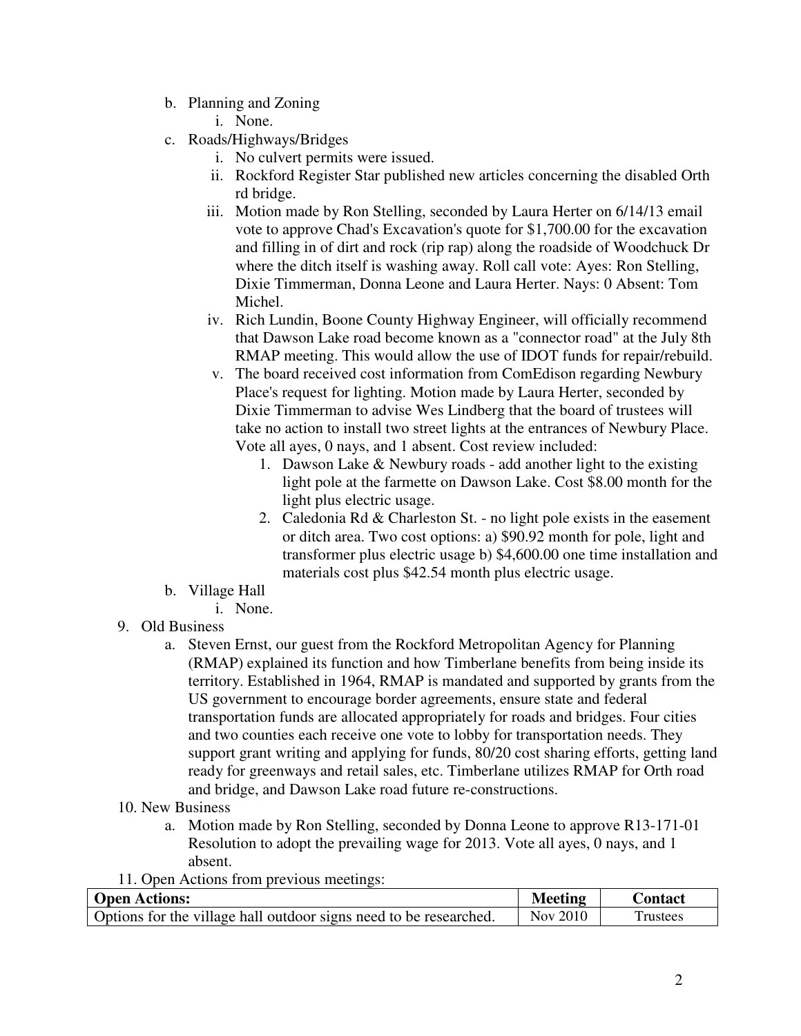- b. Planning and Zoning
	- i. None.
- c. Roads/Highways/Bridges
	- i. No culvert permits were issued.
	- ii. Rockford Register Star published new articles concerning the disabled Orth rd bridge.
	- iii. Motion made by Ron Stelling, seconded by Laura Herter on 6/14/13 email vote to approve Chad's Excavation's quote for \$1,700.00 for the excavation and filling in of dirt and rock (rip rap) along the roadside of Woodchuck Dr where the ditch itself is washing away. Roll call vote: Ayes: Ron Stelling, Dixie Timmerman, Donna Leone and Laura Herter. Nays: 0 Absent: Tom Michel.
	- iv. Rich Lundin, Boone County Highway Engineer, will officially recommend that Dawson Lake road become known as a "connector road" at the July 8th RMAP meeting. This would allow the use of IDOT funds for repair/rebuild.
	- v. The board received cost information from ComEdison regarding Newbury Place's request for lighting. Motion made by Laura Herter, seconded by Dixie Timmerman to advise Wes Lindberg that the board of trustees will take no action to install two street lights at the entrances of Newbury Place. Vote all ayes, 0 nays, and 1 absent. Cost review included:
		- 1. Dawson Lake & Newbury roads add another light to the existing light pole at the farmette on Dawson Lake. Cost \$8.00 month for the light plus electric usage.
		- 2. Caledonia Rd  $&$  Charleston St. no light pole exists in the easement or ditch area. Two cost options: a) \$90.92 month for pole, light and transformer plus electric usage b) \$4,600.00 one time installation and materials cost plus \$42.54 month plus electric usage.
- b. Village Hall
	- i. None.
- 9. Old Business
	- a. Steven Ernst, our guest from the Rockford Metropolitan Agency for Planning (RMAP) explained its function and how Timberlane benefits from being inside its territory. Established in 1964, RMAP is mandated and supported by grants from the US government to encourage border agreements, ensure state and federal transportation funds are allocated appropriately for roads and bridges. Four cities and two counties each receive one vote to lobby for transportation needs. They support grant writing and applying for funds, 80/20 cost sharing efforts, getting land ready for greenways and retail sales, etc. Timberlane utilizes RMAP for Orth road and bridge, and Dawson Lake road future re-constructions.
- 10. New Business
	- a. Motion made by Ron Stelling, seconded by Donna Leone to approve R13-171-01 Resolution to adopt the prevailing wage for 2013. Vote all ayes, 0 nays, and 1 absent.
- 11. Open Actions from previous meetings:

| <b>Open Actions:</b>                                              | <b>Meeting</b> | <b>Contact</b> |
|-------------------------------------------------------------------|----------------|----------------|
| Options for the village hall outdoor signs need to be researched. | Nov 2010       | l rustees      |